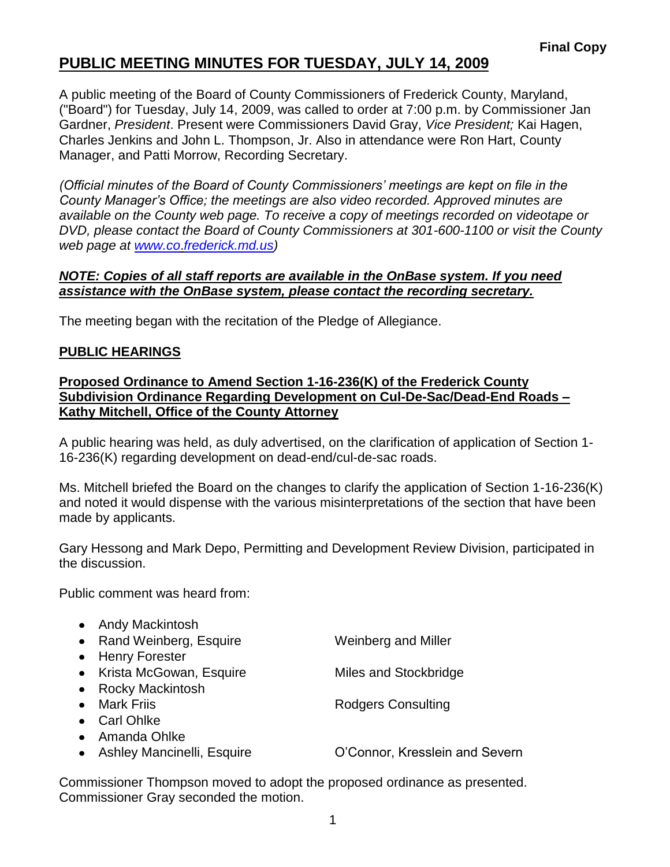# **PUBLIC MEETING MINUTES FOR TUESDAY, JULY 14, 2009**

A public meeting of the Board of County Commissioners of Frederick County, Maryland, ("Board") for Tuesday, July 14, 2009, was called to order at 7:00 p.m. by Commissioner Jan Gardner, *President*. Present were Commissioners David Gray, *Vice President;* Kai Hagen, Charles Jenkins and John L. Thompson, Jr. Also in attendance were Ron Hart, County Manager, and Patti Morrow, Recording Secretary.

*(Official minutes of the Board of County Commissioners' meetings are kept on file in the County Manager's Office; the meetings are also video recorded. Approved minutes are available on the County web page. To receive a copy of meetings recorded on videotape or DVD, please contact the Board of County Commissioners at 301-600-1100 or visit the County web page at [www.co](http://www.co/)*.*frederick.md.us)*

#### *NOTE: Copies of all staff reports are available in the OnBase system. If you need assistance with the OnBase system, please contact the recording secretary.*

The meeting began with the recitation of the Pledge of Allegiance.

#### **PUBLIC HEARINGS**

**Proposed Ordinance to Amend Section 1-16-236(K) of the Frederick County Subdivision Ordinance Regarding Development on Cul-De-Sac/Dead-End Roads – Kathy Mitchell, Office of the County Attorney**

A public hearing was held, as duly advertised, on the clarification of application of Section 1- 16-236(K) regarding development on dead-end/cul-de-sac roads.

Ms. Mitchell briefed the Board on the changes to clarify the application of Section 1-16-236(K) and noted it would dispense with the various misinterpretations of the section that have been made by applicants.

Gary Hessong and Mark Depo, Permitting and Development Review Division, participated in the discussion.

Public comment was heard from:

| • Andy Mackintosh          |                                |
|----------------------------|--------------------------------|
| • Rand Weinberg, Esquire   | <b>Weinberg and Miller</b>     |
| • Henry Forester           |                                |
| • Krista McGowan, Esquire  | Miles and Stockbridge          |
| • Rocky Mackintosh         |                                |
| • Mark Friis               | <b>Rodgers Consulting</b>      |
| Carl Ohlke                 |                                |
| Amanda Ohlke               |                                |
| Ashley Mancinelli, Esquire | O'Connor, Kresslein and Severn |
|                            |                                |

Commissioner Thompson moved to adopt the proposed ordinance as presented. Commissioner Gray seconded the motion.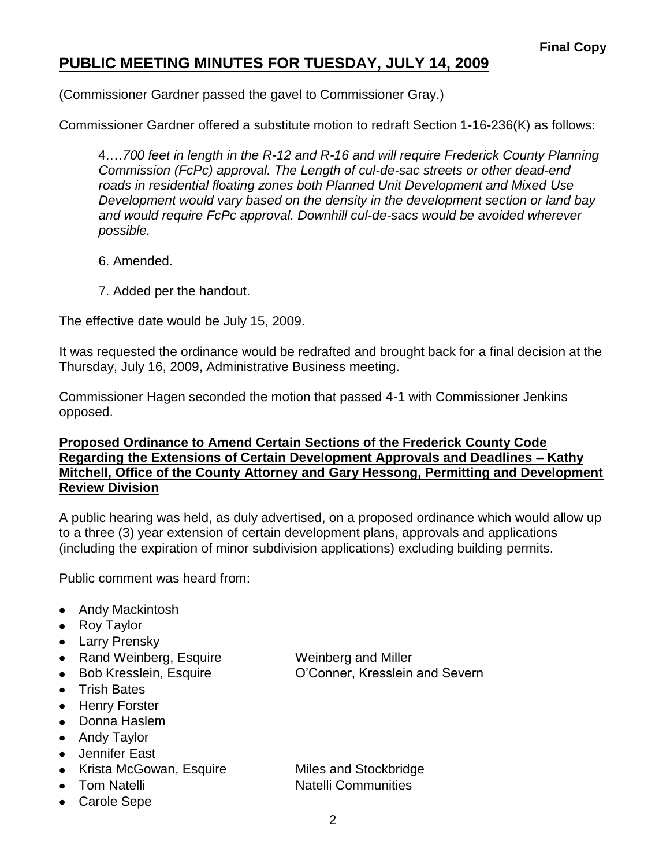# **PUBLIC MEETING MINUTES FOR TUESDAY, JULY 14, 2009**

(Commissioner Gardner passed the gavel to Commissioner Gray.)

Commissioner Gardner offered a substitute motion to redraft Section 1-16-236(K) as follows:

4.…*700 feet in length in the R-12 and R-16 and will require Frederick County Planning Commission (FcPc) approval. The Length of cul-de-sac streets or other dead-end roads in residential floating zones both Planned Unit Development and Mixed Use Development would vary based on the density in the development section or land bay and would require FcPc approval. Downhill cul-de-sacs would be avoided wherever possible.*

- 6. Amended.
- 7. Added per the handout.

The effective date would be July 15, 2009.

It was requested the ordinance would be redrafted and brought back for a final decision at the Thursday, July 16, 2009, Administrative Business meeting.

Commissioner Hagen seconded the motion that passed 4-1 with Commissioner Jenkins opposed.

#### **Proposed Ordinance to Amend Certain Sections of the Frederick County Code Regarding the Extensions of Certain Development Approvals and Deadlines – Kathy Mitchell, Office of the County Attorney and Gary Hessong, Permitting and Development Review Division**

A public hearing was held, as duly advertised, on a proposed ordinance which would allow up to a three (3) year extension of certain development plans, approvals and applications (including the expiration of minor subdivision applications) excluding building permits.

Public comment was heard from:

- Andy Mackintosh
- Roy Taylor
- Larry Prensky
- Rand Weinberg, Esquire Weinberg and Miller
- 
- Trish Bates
- Henry Forster
- Donna Haslem
- Andy Taylor
- Jennifer East
- Krista McGowan, Esquire Miles and Stockbridge
- 
- Carole Sepe

Bob Kresslein, Esquire O'Conner, Kresslein and Severn

• Tom Natelli **Natelli** Natelli Communities